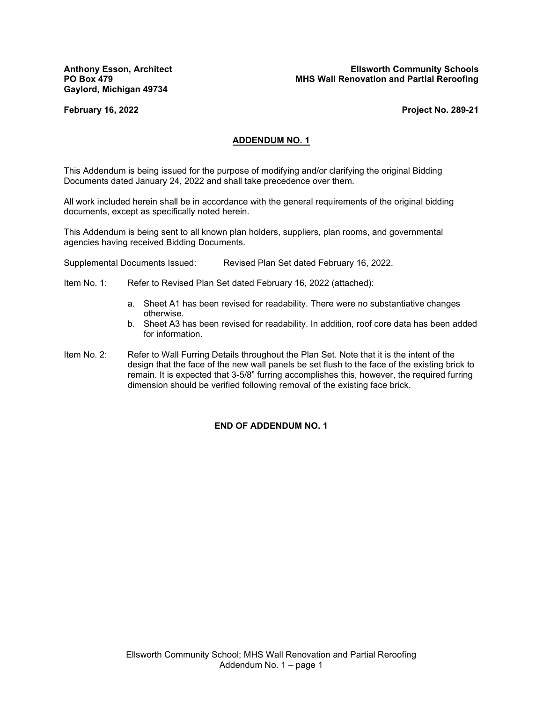**Gaylord, Michigan 49734**

**Anthony Esson, Architect Ellsworth Community Schools PO Box 479 MHS Wall Renovation and Partial Reroofing**

**February 16, 2022 Project No. 289-21**

#### **ADDENDUM NO. 1**

This Addendum is being issued for the purpose of modifying and/or clarifying the original Bidding Documents dated January 24, 2022 and shall take precedence over them.

All work included herein shall be in accordance with the general requirements of the original bidding documents, except as specifically noted herein.

This Addendum is being sent to all known plan holders, suppliers, plan rooms, and governmental agencies having received Bidding Documents.

Supplemental Documents Issued: Revised Plan Set dated February 16, 2022.

- Item No. 1: Refer to Revised Plan Set dated February 16, 2022 (attached):
	- a. Sheet A1 has been revised for readability. There were no substantiative changes otherwise.
	- b. Sheet A3 has been revised for readability. In addition, roof core data has been added for information.
- Item No. 2: Refer to Wall Furring Details throughout the Plan Set. Note that it is the intent of the design that the face of the new wall panels be set flush to the face of the existing brick to remain. It is expected that 3-5/8" furring accomplishes this, however, the required furring dimension should be verified following removal of the existing face brick.

#### **END OF ADDENDUM NO. 1**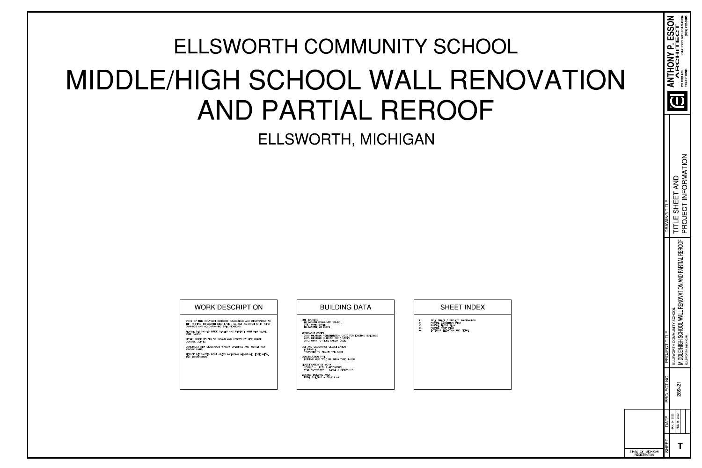| ANTHONY P. ESSON<br>ARCHITECT<br>TELEPHONE:<br>PO BOX 479<br>PROJECT INFORMATION<br>TITLE SHEET AND<br>DRAWING TITLE<br><b>REROOF</b><br>MIDDLE/HIGH SCHOOL WALL RENOVATION AND PARTIAL<br>ELLSWORTH COMMUNITY SCHOOL<br>PROJECT TITLE<br>ELLSWORTH, MICHIGAN<br>PROJECT NO<br>289-21<br>JAN 24, 2022<br>FEB 16, 2022<br>DATE<br>SHEET | OF MICHIGAN<br>ATE<br><b>REGISTRATION</b> |  |  |                                             |
|----------------------------------------------------------------------------------------------------------------------------------------------------------------------------------------------------------------------------------------------------------------------------------------------------------------------------------------|-------------------------------------------|--|--|---------------------------------------------|
|                                                                                                                                                                                                                                                                                                                                        |                                           |  |  |                                             |
|                                                                                                                                                                                                                                                                                                                                        |                                           |  |  | $(989)$ 732-0585<br>GAYLORD, MICHIGAN 49734 |
|                                                                                                                                                                                                                                                                                                                                        |                                           |  |  |                                             |
|                                                                                                                                                                                                                                                                                                                                        |                                           |  |  |                                             |

STATE OF



# ELLSWORTH, MICHIGAN ELLSWORTH COMMUNITY SCHOOL MIDDLE/HIGH SCHOOL WALL RENOVATION AND PARTIAL REROOF

| WORK OF THIS CONTRACT INCLUDES REMODELIN<br>THE EXISTING ELLSWORTH MIDDLE/HIGH SCHOOL<br>DRAWINGS AND ACCOMPANYING SPECIFICATIONS: |
|------------------------------------------------------------------------------------------------------------------------------------|
| REMOVE DESIGNATED BRICK VENEER AND REPLA<br>WALL PANELS:                                                                           |
| REPAIR BRICK VENEER TO REMAIN AND CONSTR<br>CONTROL JOINTS:                                                                        |
| CONSTRUCT NEW CLASSROOM WINDOW OPENING<br>WINDOW UNITS:                                                                            |
| REROOF DESIGNATED ROOF AREAS INCLUDING M<br>AND ACCESSORIES.                                                                       |

ING AND RENOVATIONS TO . AS DETAILED IN THESE

ACE WITH NEW METAL

RUCT NEW CRACK

GS AND INSTALL NEW

MEMBRANE, EDGE METAL

# WORK DESCRIPTION  $\vert$   $\vert$  BUILDING DATA  $\vert$  SHEET INDEX

SITE ADDRESS<br>ELLSWORTH COMMUNITY SCHOOL<br>9467 PARK STREET ELLSWORTH, MI 49729

APPLICABLE CODES 2015 MICHIGAN REHABILITATION CODE FOR EXISTING BUILDINGS 2015 MICHIGAN BUILDING CODE SERIES 2012 NFPA 101 LIFE SAFETY CODE

USE AND OCCUPANCY CLASSIFICATION **EXISTING E** PROPOSED TO REMAIN THE SAME

CONSTRUCTION TYPE EXISTING MBC TYPE IIB; NFPA TYPE II-000

CLASSIFICATION OF WORK REROOF - LEVEL 1 ALTERATION<br>
WALL RENOVATION - LEVEL 2 ALTERATION

EXISTING BUILDING AREA<br>TOTAL BUILDING - 38,419 s.f.

## TITLE SHEET / PROJECT INFORMATION<br>PARTIAL DEMOLITION PLAN  $A1$ PARTIAL FLOOR PLAN A2  $A3$ PARTIAL ROOF PLAN EXTERIOR ELEVATION AND DETAIL  $AA$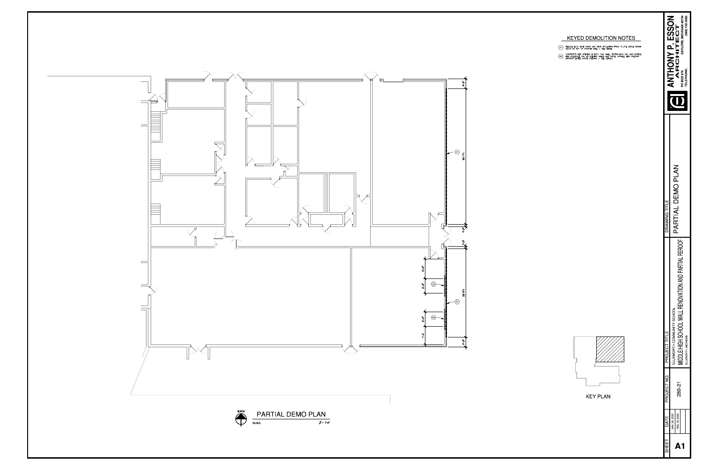- REMOVE EX'G. FACE BRICK AND RIGID INSULATION FROM  $3' 3''$  above finish FLOOR TO TOP OF PARAPET WALL SEE DETAIL.
- CONSTURCT NEW OPENING IN EX'G. CMU WALL. TOOTH BACK CMU AND INSTALL<br>NEW BULLNOSE CMU AT OPENING JAMBS AND STOOL. INSTALL NEW PRECAST<br>MASONRY LINTEL ABOVE OPENING SEE DETAILS.

| PARTIAL DEMO PLAN<br>DRAWING TITLE<br><b>REROOF</b><br>MIDDLE/HIGH SCHOOL WALL RENOVATION AND PARTIAI<br>ELLSWORTH COMMUNITY SCHOOL<br>PROJECT TITLE<br>ELLSWORTH, MICHIGAN | PROJECT NO.<br>289-21 | FEB. 16, 2022<br>JAN 24, 2022<br>DATE |
|-----------------------------------------------------------------------------------------------------------------------------------------------------------------------------|-----------------------|---------------------------------------|
|                                                                                                                                                                             |                       |                                       |
|                                                                                                                                                                             |                       |                                       |





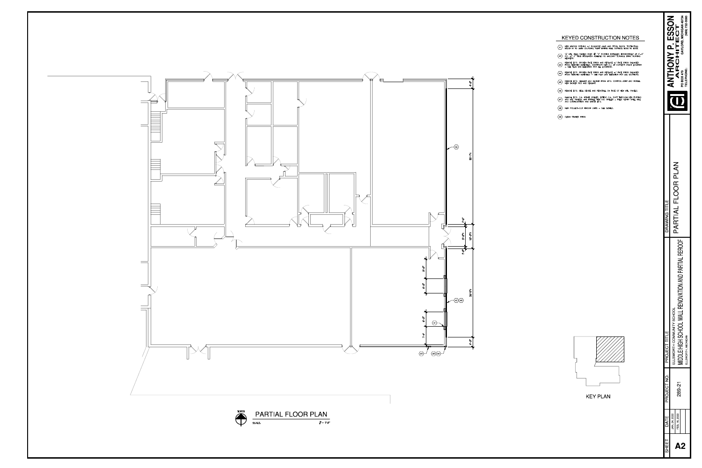

# KEYED CONSTRUCTION NOTES

- $\langle$ A1 $\rangle$  NEW WINDOW OPENING w/ BULLNOSE JAMB AND STOOL BLOCK. TOOTH FULL BLOCK IN TO JAMB COURSING, PAINT ENTIRE WALL SURFACE EDGE TO EDGE.
- $\begin{pmatrix} 1 & 1 \\ 1 & 0 \end{pmatrix}^n$  MTL. WALL PANELS OVER  $3 & 7 & 7$  furring installed horizontally at  $4'-0$  o.c. w/ 2 rigid insulation adhered to masonry surface btwn. Furring members.
- REMOVE EX'G. BROKEN FACE BRICK AND REPLACE w/ FACE BRICK SALVAGED<br>FROM REMOVED MATERIALS. CONSTRUCT NEW C.J. AT CURRENT CRACK LOCATION<br>- SEE PLAN AND ELEVATION FOR ALL LOCATIONS.
- $\overline{\langle A4 \rangle}$  REMOVE EX'G. BROKEN FACE BRICK AND REPLACE  $w/$  FACE BRICK SALVAGED<br>FROM REMOVED MATERIALS SEE PLAN AND ELEVATION FOR ALL LOCATIONS.
- $\overline{AB}$  REMOVE EX'G. SEALANT AND BACKER FROM EX'G. CONTROL JOINT AND INSTALL NEW BACKER ROD AND SEALANT.
- $\langle$ A6 $\rangle$  REMOVE EX'G. BELL DEVICE AND REINSTALL ON FACE OF NEW MTL. PANELS.
- REMOVE EX'G. O.A. INTAKE GRILLES, EXTEND O.A. DUCT THROUGH NEW FURRING<br>AND MTL. PANELS, AND INSTALL NEW O.A. GRILLES FILED VERIFY GRILL SIZE<br>AND CONFIGURATION AND MATCH EX'G.
- $\langle$ A8 $\rangle$  NEW PROJECT-OUT WINDOW UNITS SEE DETAILS.
- A9 CLEAN STAINED BRICK.



# **KEY PLAN**

| SHEET | DATE         | PROJECT NC | PROJECT TITLE                                 | DRAWING TITLE           | C<br>$\tilde{\zeta}$                        |              |
|-------|--------------|------------|-----------------------------------------------|-------------------------|---------------------------------------------|--------------|
|       | JAN 24, 2022 |            | ELLSWORTH COMMUNITY SCHOOL                    |                         |                                             |              |
|       | FEB 16, 2022 | 289 2      | p                                             | FLOOR PLAN<br>PARTIAL I | ARCHITECT                                   |              |
|       |              |            | MIDDLE/HIGH SCHOOL WALL RENOVATION AND PARTIA |                         | GAYLORD. MICHIGAN 4973<br><b>PO BOX 479</b> |              |
|       |              |            | ELLSWORTH, MICHIGAN                           |                         | <b>TELEPHONE:</b>                           | 989) 732-058 |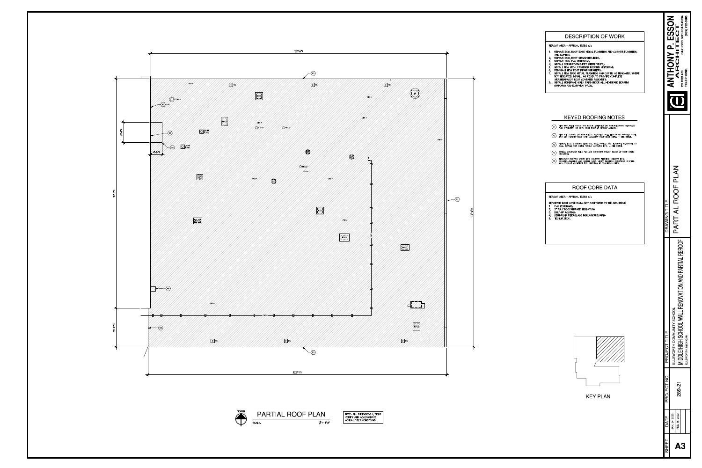





NOTE: ALL DIMENSIONS ± FIELD<br>VERIFY AND ACCOMODATE<br>ACTUAL FIELD CONDITIONS

## **DESCRIPTION OF WORK**

### REROOF AREA - APPROX. 13,382 s.f.:

- REMOVE EX'G. ROOF EDGE METAL, FLASHINGS AND COUNTER FLASHINGS;
- AND COPINGS; 2. REMOVE EX'G. ROOF DRAIN STRAINERS;
- 3. REMOVE EX'G. PVC MEMBRANE; 4. INSTALL SEPARATIOIN SHEET WHERE REQ'D.;
- 5. INSTALL NEW MECH. FASTENED ROOFING MEMBRANE;
- 6. REINSTALL NEW ROOF DRAIN STRAINERS; INSTALL NEW EDGE METAL, FLASHINGS AND COPING AS INDICATED. WHERE
- NOT INDICATED, INSTALL AS REQ'D. TO PROVIDE COMPLETE
- WEATHERPROOF ROOF COVERING ASSEMBLY; 8. INSTALL MEMBRANE WALK PADS UNDER ALL MEMBRANE BEARING SUPPORTS AND EQUIPMENT PADS.

## **KEYED ROOFING NOTES**

- $\overline{R1}$  NEW TWO-PIECE FASCIA AND FASCIA EXTENDER (TO MATCH EXISTING REMOVED)<br>FULL PERIMETER OF OPEN ROOF EDGE AT REROOF AREA(S).
- $\overline{R2}$  NEW MTL. COPING (TO MATCH EX'G. REMOVED) FULL LENGTH OF PARAPET. COPE<br>AND CAP PARAPET ENDS OVER ADJACENT ROOF EDGE METAL SEE DETAIL.
- $\langle$ R3 $\rangle$  REMOVE EX'G. STANDING SEAM MTL. WALL PANELS AND TERMINATE MEMBRANE TO WALL. INSTALL NEW METAL PANELS MATCHING EX'G. SEE DETAIL.
- $\overline{R4}$  INSTALL MEMBRANE WALK PAD AND CONCRETE SPLASH BLOCK AT ROOF DRAIN DISCHARGE.
- TERMINATE ROOFING UNDER EX'G COUNTER FLASHING (REMOVE EX'G.<br>(R5) COUNTER-FLASHING AND INSTALL NEW). VERIFY FLASHING CONDITIONS IN FIELD<br>AND CONSULT ARCHITECT FOR DIRECTION IF CONDITIONS DIFER.

## ROOF CORE DATA

REROOF AREA - APPROX. 13,382 s.f.:

- REPORTED ROOF CORE DATA (NOT CONFIRMED BY THE ARCHITECT)
- 1. PVC MEMBRANE;<br>2. 2" POLYISOCYANURATE INSULATION;
- 3. BUILT-UP ROOFING; 4. SEMI-RIGID FIBERGLASS INSULATION BOARD;
- 5. TECTUM DECK.





|                  | GAYLORD. MICHIGAN 49734<br>989) 732-0585<br>NCC.<br>ARCHITECT<br>TELEPHONE<br>PO BOX 479 |              |                                                |                     |  |  |  |
|------------------|------------------------------------------------------------------------------------------|--------------|------------------------------------------------|---------------------|--|--|--|
| DRAWING TITLE    | <b>ROOF PLAN</b><br>PARTIAL                                                              |              |                                                |                     |  |  |  |
| PROJECT TITLE    | ELLSWORTH COMMUNITY SCHOOL                                                               |              | MIDDLE/HIGH SCHOOL WALL RENOVATION AND PARTIAI | ELLSWORTH, MICHIGAN |  |  |  |
| <b>PROJECT N</b> | 289<br>28                                                                                |              |                                                |                     |  |  |  |
| DATE             | JAN 24, 2022                                                                             | FEB 16, 2022 |                                                |                     |  |  |  |
| SHEET            |                                                                                          |              |                                                |                     |  |  |  |